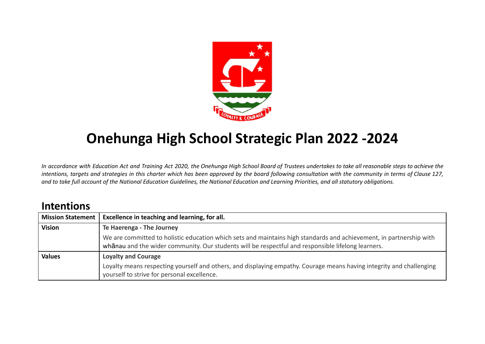

# **Onehunga High School Strategic Plan 2022 -2024**

In accordance with Education Act and Training Act 2020, the Onehunga High School Board of Trustees undertakes to take all reasonable steps to achieve the intentions, targets and strategies in this charter which has been approved by the board following consultation with the community in terms of Clause 127, and to take full account of the National Education Guidelines, the National Education and Learning Priorities, and all statutory obligations.

# **Intentions**

| <b>Mission Statement</b> | Excellence in teaching and learning, for all.                                                                                                                                                                             |
|--------------------------|---------------------------------------------------------------------------------------------------------------------------------------------------------------------------------------------------------------------------|
| <b>Vision</b>            | Te Haerenga - The Journey                                                                                                                                                                                                 |
|                          | We are committed to holistic education which sets and maintains high standards and achievement, in partnership with<br>whanau and the wider community. Our students will be respectful and responsible lifelong learners. |
| <b>Values</b>            | <b>Loyalty and Courage</b>                                                                                                                                                                                                |
|                          | Loyalty means respecting yourself and others, and displaying empathy. Courage means having integrity and challenging<br>yourself to strive for personal excellence.                                                       |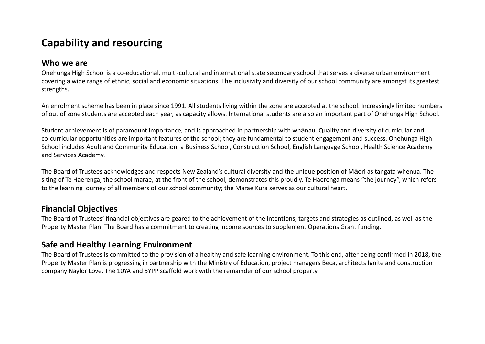# **Capability and resourcing**

### **Who we are**

Onehunga High School is a co-educational, multi-cultural and international state secondary school that serves a diverse urban environment covering a wide range of ethnic, social and economic situations. The inclusivity and diversity of our school community are amongst its greatest strengths.

An enrolment scheme has been in place since 1991. All students living within the zone are accepted at the school. Increasingly limited numbers of out of zone students are accepted each year, as capacity allows. International students are also an important part of Onehunga High School.

Student achievement is of paramount importance, and is approached in partnership with whānau. Quality and diversity of curricular and co-curricular opportunities are important features of the school; they are fundamental to student engagement and success. Onehunga High School includes Adult and Community Education, a Business School, Construction School, English Language School, Health Science Academy and Services Academy.

The Board of Trustees acknowledges and respects New Zealand's cultural diversity and the unique position of Māori as tangata whenua. The siting of Te Haerenga, the school marae, at the front of the school, demonstrates this proudly. Te Haerenga means "the journey", which refers to the learning journey of all members of our school community; the Marae Kura serves as our cultural heart.

### **Financial Objectives**

The Board of Trustees' financial objectives are geared to the achievement of the intentions, targets and strategies as outlined, as well as the Property Master Plan. The Board has a commitment to creating income sources to supplement Operations Grant funding.

### **Safe and Healthy Learning Environment**

The Board of Trustees is committed to the provision of a healthy and safe learning environment. To this end, after being confirmed in 2018, the Property Master Plan is progressing in partnership with the Ministry of Education, project managers Beca, architects Ignite and construction company Naylor Love. The 10YA and 5YPP scaffold work with the remainder of our school property.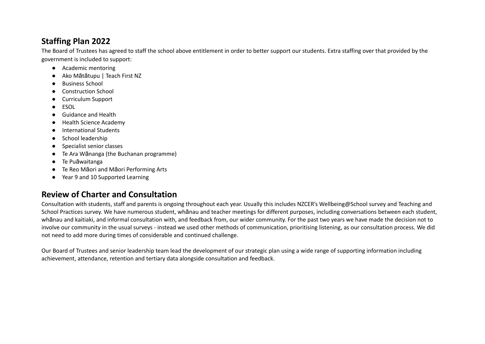### **Staffing Plan 2022**

The Board of Trustees has agreed to staff the school above entitlement in order to better support our students. Extra staffing over that provided by the government is included to support:

- Academic mentoring
- Ako Mātātupu | Teach First NZ
- Business School
- Construction School
- Curriculum Support
- ESOL
- Guidance and Health
- Health Science Academy
- International Students
- School leadership
- Specialist senior classes
- Te Ara Wānanga (the Buchanan programme)
- Te Puāwaitanga
- Te Reo Māori and Māori Performing Arts
- Year 9 and 10 Supported Learning

### **Review of Charter and Consultation**

Consultation with students, staff and parents is ongoing throughout each year. Usually this includes NZCER's Wellbeing@School survey and Teaching and School Practices survey. We have numerous student, whānau and teacher meetings for different purposes, including conversations between each student, whānau and kaitiaki, and informal consultation with, and feedback from, our wider community. For the past two years we have made the decision not to involve our community in the usual surveys - instead we used other methods of communication, prioritising listening, as our consultation process. We did not need to add more during times of considerable and continued challenge.

Our Board of Trustees and senior leadership team lead the development of our strategic plan using a wide range of supporting information including achievement, attendance, retention and tertiary data alongside consultation and feedback.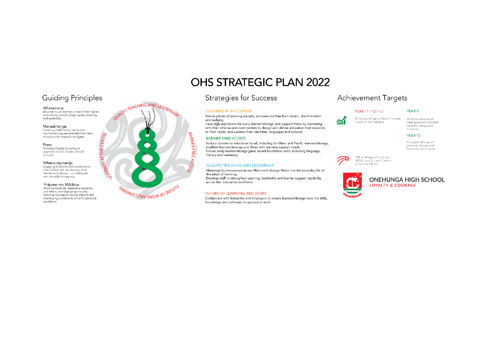### **Guiding Principles**

#### Whakamana

empowering all learners to reach their highest potential by providing high-quality teaching and leadership.

#### Manaakitanga

Creating a welcoming, caring and creative learning environment that treats everyone with respect and dignity.

### Pono Showing integrity by acting in<br>ways that are fair, honest, ethical and just.

Whanaungatanga Engaging in positive and collaborative<br>relationships with our learners, their families and whanau, our colleagues and the wider community.

#### Piripono me Mātātoa

Showing loyalty by respecting ourselves and others, and displaying empathy. Showing courage by having integrity and challenging ourselves to strive for personal excellence.

# OUNLINTEACHING AND LEADERSHIP **CENTRE CENTRE BARNER FREE** ACCE **SAWARE OF WORK AND LEARWAG**

# **OHS STRATEGIC PLAN 2022**

### **Strategies for Success**

### **LEARNERS AT THE CENTRE**

Ensure places of learning are safe, inclusive and free from racism, discrimination and bullying.

Have high aspirations for every learner/akonga, and support these by partnering with their whanau and communities to design and deliver education that responds to their needs, and sustains their identities, languages and cultures.

#### **BARRIER FREE ACCESS**

Reduce barriers to education for all, including for Mäori and Pacific learners/äkonga, disabled learners/äkonga and those with learning support needs. Ensure every learner/akonga gains sound foundation skills, including language, literacy and numeracy.

#### QUALITY TEACHING AND LEADERSHIP

Meaningfully incorporate te reo Maori and tikanga Maori into the everyday life of the place of learning.

Develop staff to strengthen teaching, leadership and learner support capability across the education workforce.

### FUTURE OF LEARNING AND WORK

Collaborate with industries and employers to ensure learners/ākonga have the skills, knowledge and pathways to succeed in work.

### **Achievement Targets**

#### YEAR 11 / 12 / 13



All eligible äkonga will meet expected curriculum levels for literacy and numeracy

#### YEAR 10

YEAR 9

All eligible åkonga will gain their Literacy and Numeracy qualification



20% of äkonga who achieve NCEA Level 1, 2 and 3 will do<br>so with Excellence



**ONEHUNGA HIGH SCHOOL LOYALTY & COURAGE**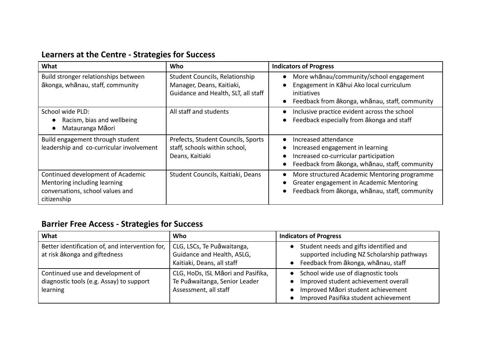# **Learners at the Centre - Strategies for Success**

| What                                                                                                                 | Who                                                                                                | <b>Indicators of Progress</b>                                                                                                                                                                           |
|----------------------------------------------------------------------------------------------------------------------|----------------------------------------------------------------------------------------------------|---------------------------------------------------------------------------------------------------------------------------------------------------------------------------------------------------------|
| Build stronger relationships between<br>ākonga, whānau, staff, community                                             | Student Councils, Relationship<br>Manager, Deans, Kaitiaki,<br>Guidance and Health, SLT, all staff | More whanau/community/school engagement<br>$\bullet$<br>Engagement in Kāhui Ako local curriculum<br>$\bullet$<br>initiatives<br>Feedback from ākonga, whānau, staff, community<br>$\bullet$             |
| School wide PLD:<br>Racism, bias and wellbeing<br>Matauranga Māori                                                   | All staff and students                                                                             | Inclusive practice evident across the school<br>$\bullet$<br>Feedback especially from akonga and staff<br>$\bullet$                                                                                     |
| Build engagement through student<br>leadership and co-curricular involvement                                         | Prefects, Student Councils, Sports<br>staff, schools within school,<br>Deans, Kaitiaki             | Increased attendance<br>$\bullet$<br>Increased engagement in learning<br>$\bullet$<br>Increased co-curricular participation<br>$\bullet$<br>Feedback from ākonga, whānau, staff, community<br>$\bullet$ |
| Continued development of Academic<br>Mentoring including learning<br>conversations, school values and<br>citizenship | Student Councils, Kaitiaki, Deans                                                                  | More structured Academic Mentoring programme<br>$\bullet$<br>Greater engagement in Academic Mentoring<br>Feedback from ākonga, whānau, staff, community<br>$\bullet$                                    |

# **Barrier Free Access - Strategies for Success**

| What                                                                                     | Who                                                                                          | <b>Indicators of Progress</b>                                                                                                                                           |
|------------------------------------------------------------------------------------------|----------------------------------------------------------------------------------------------|-------------------------------------------------------------------------------------------------------------------------------------------------------------------------|
| Better identification of, and intervention for,<br>at risk ākonga and giftedness         | CLG, LSCs, Te Puāwaitanga,<br>Guidance and Health, ASLG,<br>Kaitiaki, Deans, all staff       | Student needs and gifts identified and<br>$\bullet$<br>supported including NZ Scholarship pathways<br>Feedback from ākonga, whānau, staff                               |
| Continued use and development of<br>diagnostic tools (e.g. Assay) to support<br>learning | CLG, HoDs, ISL Māori and Pasifika,<br>Te Puāwaitanga, Senior Leader<br>Assessment, all staff | School wide use of diagnostic tools<br>$\bullet$<br>Improved student achievement overall<br>Improved Māori student achievement<br>Improved Pasifika student achievement |